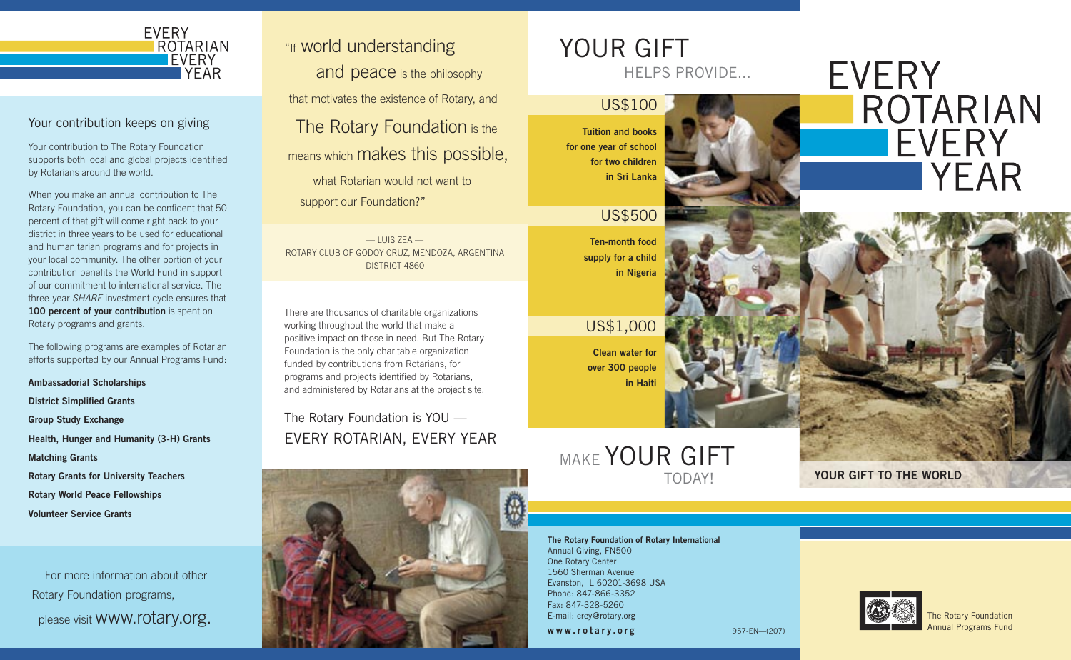

### Your contribution keeps on giving

Your contribution to The Rotary Foundation supports both local and global projects identified by Rotarians around the world.

When you make an annual contribution to The Rotary Foundation, you can be confident that 50 percent of that gift will come right back to your district in three years to be used for educational and humanitarian programs and for projects in your local community. The other portion of your contribution benefits the World Fund in support of our commitment to international service. The three-year SHARE investment cycle ensures that 100 percent of your contribution is spent on Rotary programs and grants.

The following programs are examples of Rotarian efforts supported by our Annual Programs Fund:

Ambassadorial Scholarships District Simplified Grants Group Study Exchange Health, Hunger and Humanity (3-H) Grants Matching Grants Rotary Grants for University Teachers Rotary World Peace Fellowships Volunteer Service Grants

 For more information about other Rotary Foundation programs, please visit www.rotary.org. "If world understanding

and peace is the philosophy that motivates the existence of Rotary, and

The Rotary Foundation is the means which makes this possible,

what Rotarian would not want to support our Foundation?"

 $-$  LUIS ZEA $-$ ROTARY CLUB OF GODOY CRUZ, MENDOZA, ARGENTINA DISTRICT 4860

There are thousands of charitable organizations working throughout the world that make a positive impact on those in need. But The Rotary Foundation is the only charitable organization funded by contributions from Rotarians, for programs and projects identified by Rotarians, and administered by Rotarians at the project site.

The Rotary Foundation is YOU — EVERY ROTARIAN, EVERY YEAR



# YOUR GIFT

HELPS PROVIDE...

Tuition and books for one year of school for two children in Sri Lanka

US\$100

US\$500

Ten-month food supply for a child in Nigeria

US\$1,000

Clean water for over 300 people in Haiti

## TODAY! **MAKE YOUR GIFT**

The Rotary Foundation of Rotary International Annual Giving, FN500 One Rotary Center 1560 Sherman Avenue Evanston, IL 60201-3698 USA Phone: 847-866-3352 Fax: 847-328-5260 E-mail: erey@rotary.org

www.rotary.org





YOUR GIFT TO THE WORLD